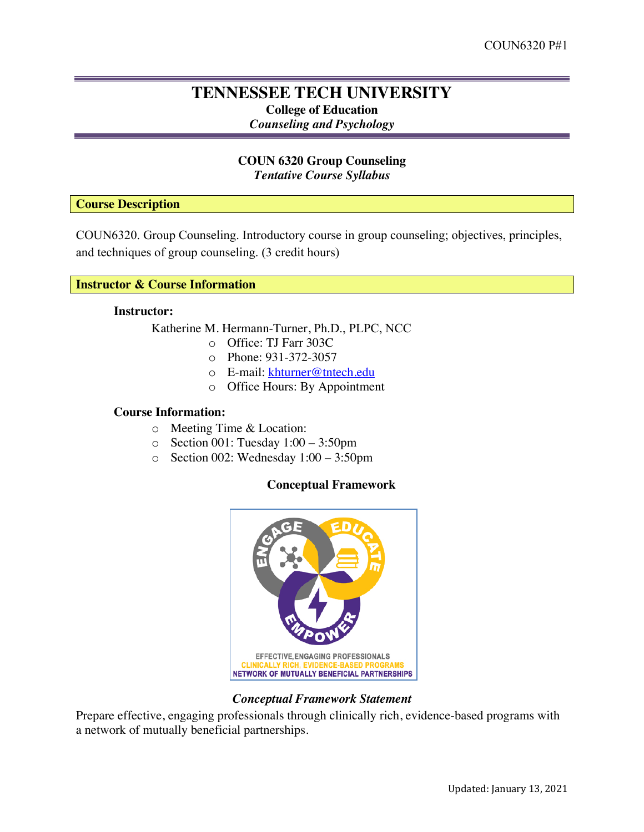# **TENNESSEE TECH UNIVERSITY College of Education** *Counseling and Psychology*

# **COUN 6320 Group Counseling** *Tentative Course Syllabus*

**Course Description**

COUN6320. Group Counseling. Introductory course in group counseling; objectives, principles, and techniques of group counseling. (3 credit hours)

# **Instructor & Course Information**

#### **Instructor:**

Katherine M. Hermann-Turner, Ph.D., PLPC, NCC

- o Office: TJ Farr 303C
	- o Phone: 931-372-3057
	- o E-mail: khturner@tntech.edu
	- o Office Hours: By Appointment

# **Course Information:**

- o Meeting Time & Location:
- o Section 001: Tuesday 1:00 3:50pm
- o Section 002: Wednesday 1:00 3:50pm

# **Conceptual Framework**



## *Conceptual Framework Statement*

Prepare effective, engaging professionals through clinically rich, evidence-based programs with a network of mutually beneficial partnerships.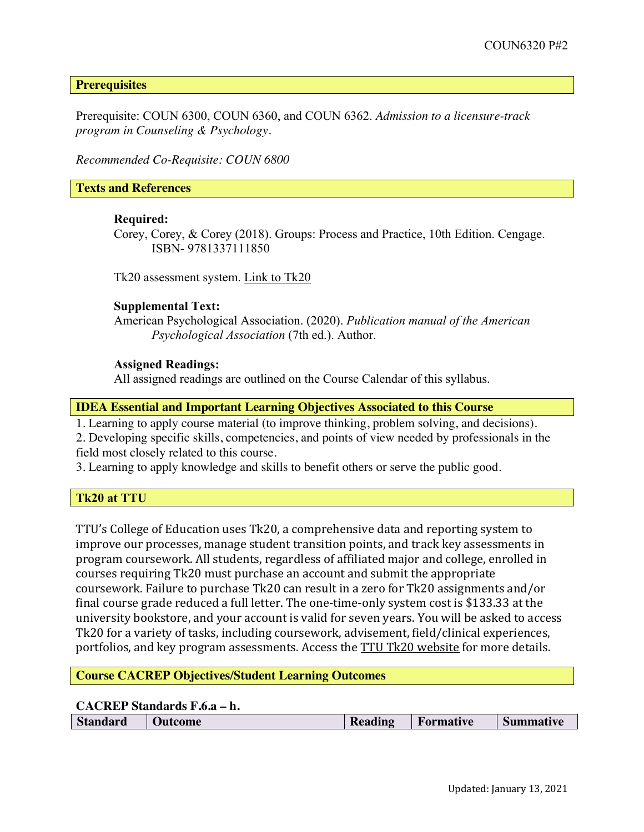**Prerequisites**

Prerequisite: COUN 6300, COUN 6360, and COUN 6362. *Admission to a licensure-track program in Counseling & Psychology.* 

*Recommended Co-Requisite: COUN 6800*

# **Texts and References**

### **Required:**

Corey, Corey, & Corey (2018). Groups: Process and Practice, 10th Edition. Cengage. ISBN- 9781337111850

Tk20 assessment system. Link to Tk20

### **Supplemental Text:**

American Psychological Association. (2020). *Publication manual of the American Psychological Association* (7th ed.). Author.

### **Assigned Readings:**

All assigned readings are outlined on the Course Calendar of this syllabus.

**IDEA Essential and Important Learning Objectives Associated to this Course**

1. Learning to apply course material (to improve thinking, problem solving, and decisions).

2. Developing specific skills, competencies, and points of view needed by professionals in the field most closely related to this course.

3. Learning to apply knowledge and skills to benefit others or serve the public good.

# **Tk20 at TTU**

TTU's College of Education uses Tk20, a comprehensive data and reporting system to improve our processes, manage student transition points, and track key assessments in program coursework. All students, regardless of affiliated major and college, enrolled in courses requiring Tk20 must purchase an account and submit the appropriate coursework. Failure to purchase Tk20 can result in a zero for Tk20 assignments and/or final course grade reduced a full letter. The one-time-only system cost is \$133.33 at the university bookstore, and your account is valid for seven years. You will be asked to access Tk20 for a variety of tasks, including coursework, advisement, field/clinical experiences, portfolios, and key program assessments. Access the TTU Tk20 website for more details.

## **Course CACREP Objectives/Student Learning Outcomes**

# **CACREP Standards F.6.a – h.**

| <b>Standard</b> | <b>Outcome</b> | Reading | <b>Formative</b> | Summative |
|-----------------|----------------|---------|------------------|-----------|
|                 |                |         |                  |           |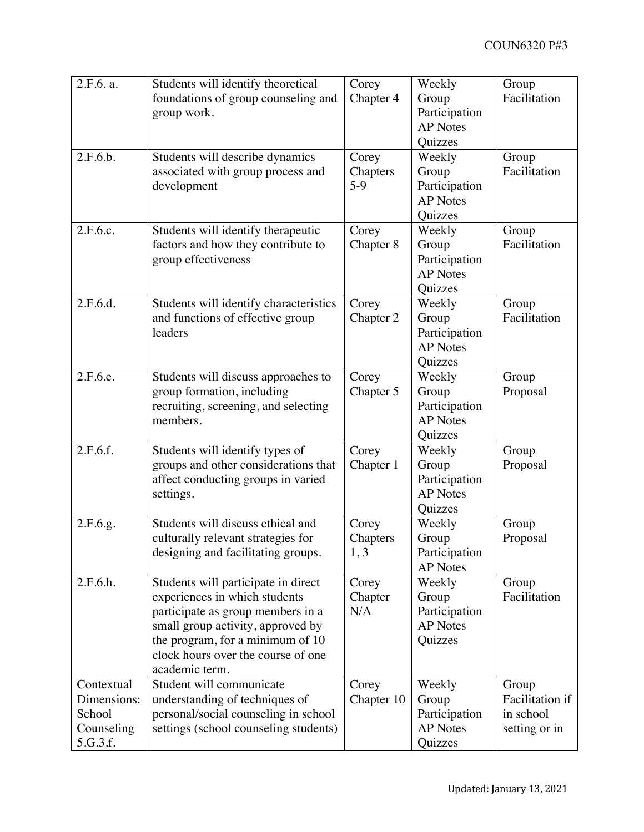| 2.F.6. a.<br>2.F.6.b.                                         | Students will identify theoretical<br>foundations of group counseling and<br>group work.<br>Students will describe dynamics<br>associated with group process and<br>development                                                            | Corey<br>Chapter 4<br>Corey<br>Chapters<br>$5-9$ | Weekly<br>Group<br>Participation<br><b>AP</b> Notes<br>Quizzes<br>Weekly<br>Group<br>Participation | Group<br>Facilitation<br>Group<br>Facilitation         |
|---------------------------------------------------------------|--------------------------------------------------------------------------------------------------------------------------------------------------------------------------------------------------------------------------------------------|--------------------------------------------------|----------------------------------------------------------------------------------------------------|--------------------------------------------------------|
| 2.F.6.c.                                                      | Students will identify therapeutic<br>factors and how they contribute to<br>group effectiveness                                                                                                                                            | Corey<br>Chapter 8                               | <b>AP</b> Notes<br>Quizzes<br>Weekly<br>Group<br>Participation<br><b>AP</b> Notes<br>Quizzes       | Group<br>Facilitation                                  |
| 2.F.6.d.                                                      | Students will identify characteristics<br>and functions of effective group<br>leaders                                                                                                                                                      | Corey<br>Chapter 2                               | Weekly<br>Group<br>Participation<br><b>AP</b> Notes<br>Quizzes                                     | Group<br>Facilitation                                  |
| 2.F.6.e.                                                      | Students will discuss approaches to<br>group formation, including<br>recruiting, screening, and selecting<br>members.                                                                                                                      | Corey<br>Chapter 5                               | Weekly<br>Group<br>Participation<br><b>AP</b> Notes<br>Quizzes                                     | Group<br>Proposal                                      |
| 2.F.6.f.                                                      | Students will identify types of<br>groups and other considerations that<br>affect conducting groups in varied<br>settings.                                                                                                                 | Corey<br>Chapter 1                               | Weekly<br>Group<br>Participation<br><b>AP</b> Notes<br>Quizzes                                     | Group<br>Proposal                                      |
| 2.F.6.g.                                                      | Students will discuss ethical and<br>culturally relevant strategies for<br>designing and facilitating groups.                                                                                                                              | Corey<br>Chapters<br>1,3                         | Weekly<br>Group<br>Participation<br><b>AP</b> Notes                                                | Group<br>Proposal                                      |
| 2.F.6.h.                                                      | Students will participate in direct<br>experiences in which students<br>participate as group members in a<br>small group activity, approved by<br>the program, for a minimum of 10<br>clock hours over the course of one<br>academic term. | Corey<br>Chapter<br>N/A                          | Weekly<br>Group<br>Participation<br><b>AP</b> Notes<br>Quizzes                                     | Group<br>Facilitation                                  |
| Contextual<br>Dimensions:<br>School<br>Counseling<br>5.G.3.f. | Student will communicate<br>understanding of techniques of<br>personal/social counseling in school<br>settings (school counseling students)                                                                                                | Corey<br>Chapter 10                              | Weekly<br>Group<br>Participation<br><b>AP</b> Notes<br>Quizzes                                     | Group<br>Facilitation if<br>in school<br>setting or in |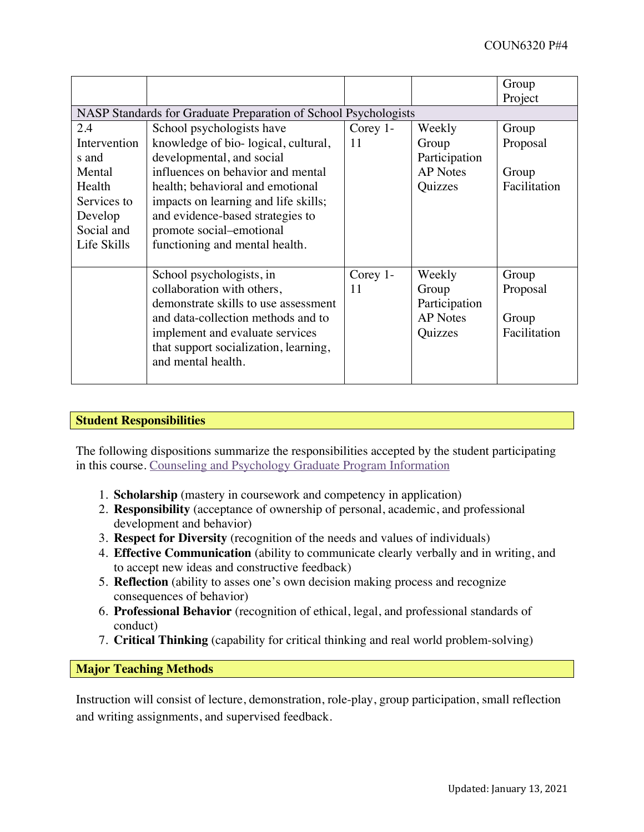|                                                                 |                                       |            |                 | Group<br>Project |  |
|-----------------------------------------------------------------|---------------------------------------|------------|-----------------|------------------|--|
| NASP Standards for Graduate Preparation of School Psychologists |                                       |            |                 |                  |  |
| 2.4                                                             | School psychologists have             | Corey $1-$ | Weekly          | Group            |  |
| Intervention                                                    | knowledge of bio-logical, cultural,   | 11         | Group           | Proposal         |  |
| s and                                                           | developmental, and social             |            | Participation   |                  |  |
| Mental                                                          | influences on behavior and mental     |            | <b>AP</b> Notes | Group            |  |
| Health                                                          | health; behavioral and emotional      |            | Quizzes         | Facilitation     |  |
| Services to                                                     | impacts on learning and life skills;  |            |                 |                  |  |
| Develop                                                         | and evidence-based strategies to      |            |                 |                  |  |
| Social and                                                      | promote social-emotional              |            |                 |                  |  |
| Life Skills                                                     | functioning and mental health.        |            |                 |                  |  |
|                                                                 |                                       |            |                 |                  |  |
|                                                                 | School psychologists, in              | Corey 1-   | Weekly          | Group            |  |
|                                                                 | collaboration with others,            | 11         | Group           | Proposal         |  |
|                                                                 | demonstrate skills to use assessment  |            | Participation   |                  |  |
|                                                                 | and data-collection methods and to    |            | <b>AP</b> Notes | Group            |  |
|                                                                 | implement and evaluate services       |            | Quizzes         | Facilitation     |  |
|                                                                 | that support socialization, learning, |            |                 |                  |  |
|                                                                 | and mental health.                    |            |                 |                  |  |
|                                                                 |                                       |            |                 |                  |  |

# **Student Responsibilities**

The following dispositions summarize the responsibilities accepted by the student participating in this course. Counseling and Psychology Graduate Program Information

- 1. **Scholarship** (mastery in coursework and competency in application)
- 2. **Responsibility** (acceptance of ownership of personal, academic, and professional development and behavior)
- 3. **Respect for Diversity** (recognition of the needs and values of individuals)
- 4. **Effective Communication** (ability to communicate clearly verbally and in writing, and to accept new ideas and constructive feedback)
- 5. **Reflection** (ability to asses one's own decision making process and recognize consequences of behavior)
- 6. **Professional Behavior** (recognition of ethical, legal, and professional standards of conduct)
- 7. **Critical Thinking** (capability for critical thinking and real world problem-solving)

**Major Teaching Methods**

Instruction will consist of lecture, demonstration, role-play, group participation, small reflection and writing assignments, and supervised feedback.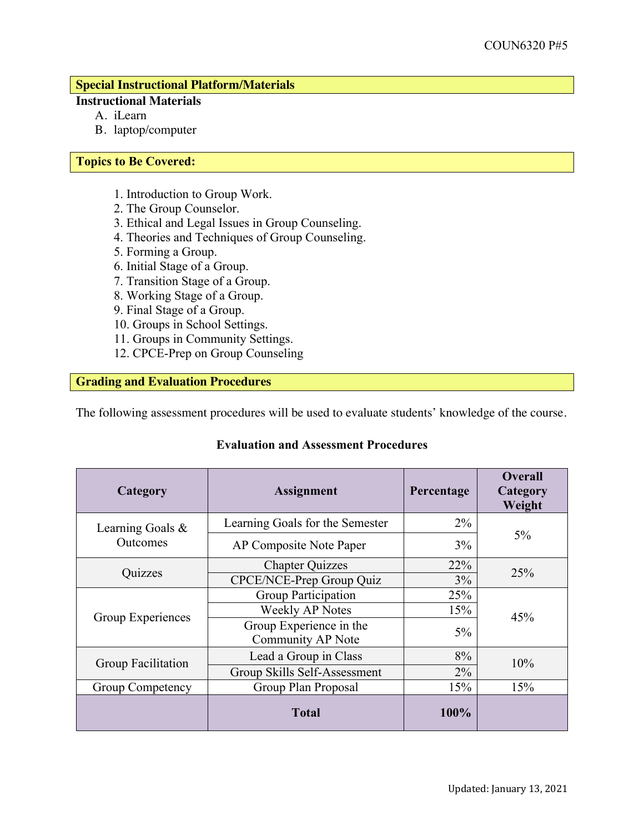# **Special Instructional Platform/Materials**

# **Instructional Materials**

- A. iLearn
- B. laptop/computer

# **Topics to Be Covered:**

- 1. Introduction to Group Work.
- 2. The Group Counselor.
- 3. Ethical and Legal Issues in Group Counseling.
- 4. Theories and Techniques of Group Counseling.
- 5. Forming a Group.
- 6. Initial Stage of a Group.
- 7. Transition Stage of a Group.
- 8. Working Stage of a Group.
- 9. Final Stage of a Group.
- 10. Groups in School Settings.
- 11. Groups in Community Settings.
- 12. CPCE-Prep on Group Counseling

# **Grading and Evaluation Procedures**

The following assessment procedures will be used to evaluate students' knowledge of the course.

# **Category Assignment Percentage Overall Category Weight** Learning Goals & Outcomes Learning Goals for the Semester | 2% 5% AP Composite Note Paper 19% Quizzes Chapter Quizzes 22% 25% CPCE/NCE-Prep Group Quiz 3% 25% Group Experiences Group Participation 25%  $\frac{\text{Weekly AP Notes}}{45\%}$  15% Group Experience in the Throup Experience in the two states of the state of the state of the state of the state of the state of the state of the state of the state of the state of the state of the state of the state of the state of the state of t Group Facilitation Lead a Group in Class 8% 10% 10% Group Competency Group Plan Proposal 15% 15% 15% **Total 100%**

# **Evaluation and Assessment Procedures**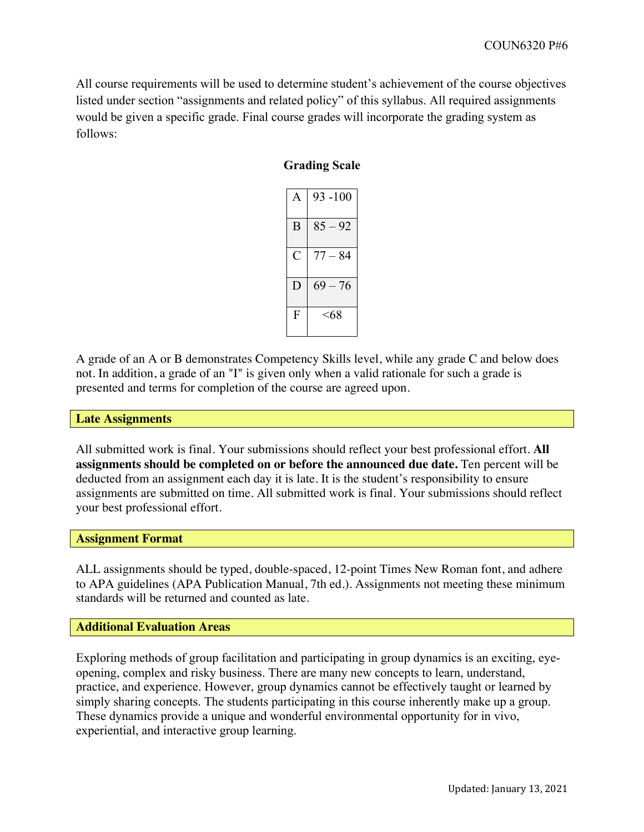All course requirements will be used to determine student's achievement of the course objectives listed under section "assignments and related policy" of this syllabus. All required assignments would be given a specific grade. Final course grades will incorporate the grading system as follows:

# **Grading Scale**

|              | $93 - 100$ |
|--------------|------------|
| B            | $85 - 92$  |
| C            | $77 - 84$  |
| Ð            | $69 - 76$  |
| $\mathbf{F}$ | <68        |

A grade of an A or B demonstrates Competency Skills level, while any grade C and below does not. In addition, a grade of an "I" is given only when a valid rationale for such a grade is presented and terms for completion of the course are agreed upon.

#### **Late Assignments**

All submitted work is final. Your submissions should reflect your best professional effort. **All assignments should be completed on or before the announced due date.** Ten percent will be deducted from an assignment each day it is late. It is the student's responsibility to ensure assignments are submitted on time. All submitted work is final. Your submissions should reflect your best professional effort.

### **Assignment Format**

ALL assignments should be typed, double-spaced, 12-point Times New Roman font, and adhere to APA guidelines (APA Publication Manual, 7th ed.). Assignments not meeting these minimum standards will be returned and counted as late.

## **Additional Evaluation Areas**

Exploring methods of group facilitation and participating in group dynamics is an exciting, eyeopening, complex and risky business. There are many new concepts to learn, understand, practice, and experience. However, group dynamics cannot be effectively taught or learned by simply sharing concepts. The students participating in this course inherently make up a group. These dynamics provide a unique and wonderful environmental opportunity for in vivo, experiential, and interactive group learning.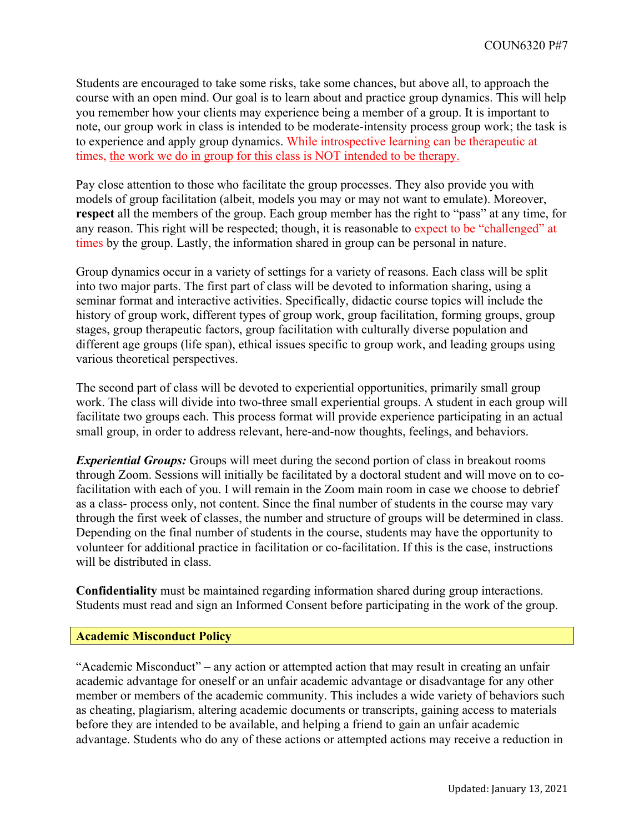Students are encouraged to take some risks, take some chances, but above all, to approach the course with an open mind. Our goal is to learn about and practice group dynamics. This will help you remember how your clients may experience being a member of a group. It is important to note, our group work in class is intended to be moderate-intensity process group work; the task is to experience and apply group dynamics. While introspective learning can be therapeutic at times, the work we do in group <u>for this class is NOT intended to be therapy.</u>

Pay close attention to those who facilitate the group processes. They also provide you with models of group facilitation (albeit, models you may or may not want to emulate). Moreover, **respect** all the members of the group. Each group member has the right to "pass" at any time, for any reason. This right will be respected; though, it is reasonable to expect to be "challenged" at times by the group. Lastly, the information shared in group can be personal in nature.

Group dynamics occur in a variety of settings for a variety of reasons. Each class will be split into two major parts. The first part of class will be devoted to information sharing, using a seminar format and interactive activities. Specifically, didactic course topics will include the history of group work, different types of group work, group facilitation, forming groups, group stages, group therapeutic factors, group facilitation with culturally diverse population and different age groups (life span), ethical issues specific to group work, and leading groups using various theoretical perspectives.

The second part of class will be devoted to experiential opportunities, primarily small group work. The class will divide into two-three small experiential groups. A student in each group will facilitate two groups each. This process format will provide experience participating in an actual small group, in order to address relevant, here-and-now thoughts, feelings, and behaviors.

*Experiential Groups:* Groups will meet during the second portion of class in breakout rooms through Zoom. Sessions will initially be facilitated by a doctoral student and will move on to cofacilitation with each of you. I will remain in the Zoom main room in case we choose to debrief as a class- process only, not content. Since the final number of students in the course may vary through the first week of classes, the number and structure of groups will be determined in class. Depending on the final number of students in the course, students may have the opportunity to volunteer for additional practice in facilitation or co-facilitation. If this is the case, instructions will be distributed in class.

**Confidentiality** must be maintained regarding information shared during group interactions. Students must read and sign an Informed Consent before participating in the work of the group.

## **Academic Misconduct Policy**

"Academic Misconduct" – any action or attempted action that may result in creating an unfair academic advantage for oneself or an unfair academic advantage or disadvantage for any other member or members of the academic community. This includes a wide variety of behaviors such as cheating, plagiarism, altering academic documents or transcripts, gaining access to materials before they are intended to be available, and helping a friend to gain an unfair academic advantage. Students who do any of these actions or attempted actions may receive a reduction in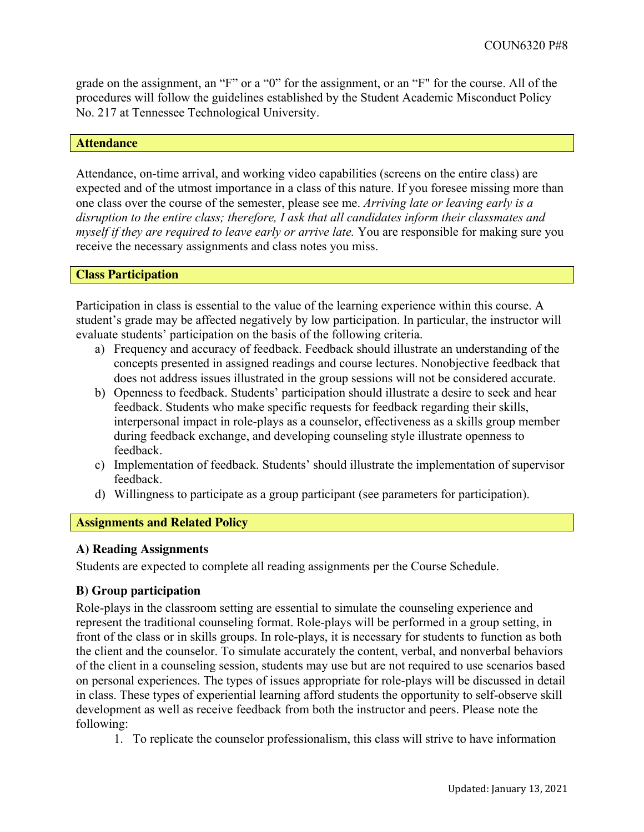grade on the assignment, an "F" or a "0" for the assignment, or an "F" for the course. All of the procedures will follow the guidelines established by the Student Academic Misconduct Policy No. 217 at Tennessee Technological University.

### **Attendance**

Attendance, on-time arrival, and working video capabilities (screens on the entire class) are expected and of the utmost importance in a class of this nature. If you foresee missing more than one class over the course of the semester, please see me. *Arriving late or leaving early is a disruption to the entire class; therefore, I ask that all candidates inform their classmates and myself if they are required to leave early or arrive late.* You are responsible for making sure you receive the necessary assignments and class notes you miss.

### **Class Participation**

Participation in class is essential to the value of the learning experience within this course. A student's grade may be affected negatively by low participation. In particular, the instructor will evaluate students' participation on the basis of the following criteria.

- a) Frequency and accuracy of feedback. Feedback should illustrate an understanding of the concepts presented in assigned readings and course lectures. Nonobjective feedback that does not address issues illustrated in the group sessions will not be considered accurate.
- b) Openness to feedback. Students' participation should illustrate a desire to seek and hear feedback. Students who make specific requests for feedback regarding their skills, interpersonal impact in role-plays as a counselor, effectiveness as a skills group member during feedback exchange, and developing counseling style illustrate openness to feedback.
- c) Implementation of feedback. Students' should illustrate the implementation of supervisor feedback.
- d) Willingness to participate as a group participant (see parameters for participation).

## **Assignments and Related Policy**

## **A) Reading Assignments**

Students are expected to complete all reading assignments per the Course Schedule.

## **B) Group participation**

Role-plays in the classroom setting are essential to simulate the counseling experience and represent the traditional counseling format. Role-plays will be performed in a group setting, in front of the class or in skills groups. In role-plays, it is necessary for students to function as both the client and the counselor. To simulate accurately the content, verbal, and nonverbal behaviors of the client in a counseling session, students may use but are not required to use scenarios based on personal experiences. The types of issues appropriate for role-plays will be discussed in detail in class. These types of experiential learning afford students the opportunity to self-observe skill development as well as receive feedback from both the instructor and peers. Please note the following:

1. To replicate the counselor professionalism, this class will strive to have information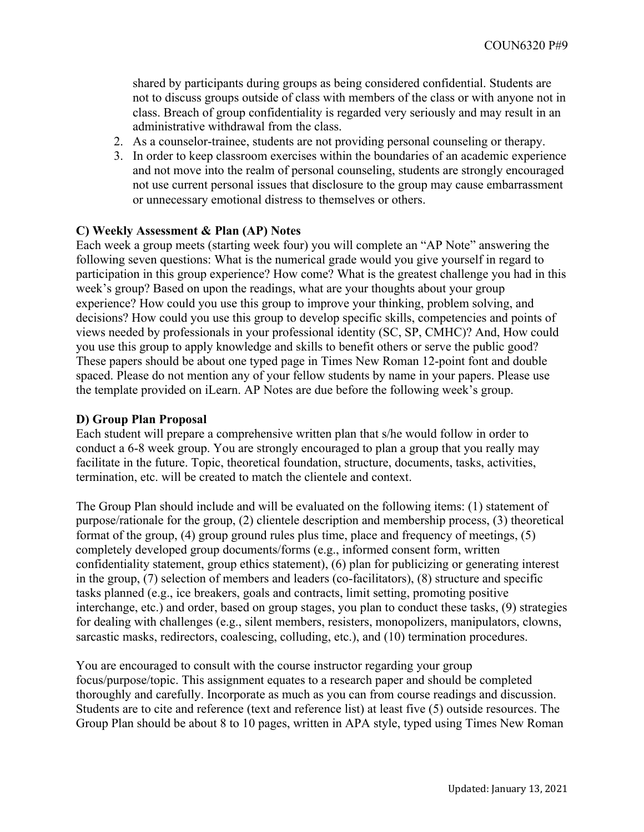shared by participants during groups as being considered confidential. Students are not to discuss groups outside of class with members of the class or with anyone not in class. Breach of group confidentiality is regarded very seriously and may result in an administrative withdrawal from the class.

- 2. As a counselor-trainee, students are not providing personal counseling or therapy.
- 3. In order to keep classroom exercises within the boundaries of an academic experience and not move into the realm of personal counseling, students are strongly encouraged not use current personal issues that disclosure to the group may cause embarrassment or unnecessary emotional distress to themselves or others.

# **C) Weekly Assessment & Plan (AP) Notes**

Each week a group meets (starting week four) you will complete an "AP Note" answering the following seven questions: What is the numerical grade would you give yourself in regard to participation in this group experience? How come? What is the greatest challenge you had in this week's group? Based on upon the readings, what are your thoughts about your group experience? How could you use this group to improve your thinking, problem solving, and decisions? How could you use this group to develop specific skills, competencies and points of views needed by professionals in your professional identity (SC, SP, CMHC)? And, How could you use this group to apply knowledge and skills to benefit others or serve the public good? These papers should be about one typed page in Times New Roman 12-point font and double spaced. Please do not mention any of your fellow students by name in your papers. Please use the template provided on iLearn. AP Notes are due before the following week's group.

## **D) Group Plan Proposal**

Each student will prepare a comprehensive written plan that s/he would follow in order to conduct a 6-8 week group. You are strongly encouraged to plan a group that you really may facilitate in the future. Topic, theoretical foundation, structure, documents, tasks, activities, termination, etc. will be created to match the clientele and context.

The Group Plan should include and will be evaluated on the following items: (1) statement of purpose/rationale for the group, (2) clientele description and membership process, (3) theoretical format of the group, (4) group ground rules plus time, place and frequency of meetings, (5) completely developed group documents/forms (e.g., informed consent form, written confidentiality statement, group ethics statement), (6) plan for publicizing or generating interest in the group, (7) selection of members and leaders (co-facilitators), (8) structure and specific tasks planned (e.g., ice breakers, goals and contracts, limit setting, promoting positive interchange, etc.) and order, based on group stages, you plan to conduct these tasks, (9) strategies for dealing with challenges (e.g., silent members, resisters, monopolizers, manipulators, clowns, sarcastic masks, redirectors, coalescing, colluding, etc.), and (10) termination procedures.

You are encouraged to consult with the course instructor regarding your group focus/purpose/topic. This assignment equates to a research paper and should be completed thoroughly and carefully. Incorporate as much as you can from course readings and discussion. Students are to cite and reference (text and reference list) at least five (5) outside resources. The Group Plan should be about 8 to 10 pages, written in APA style, typed using Times New Roman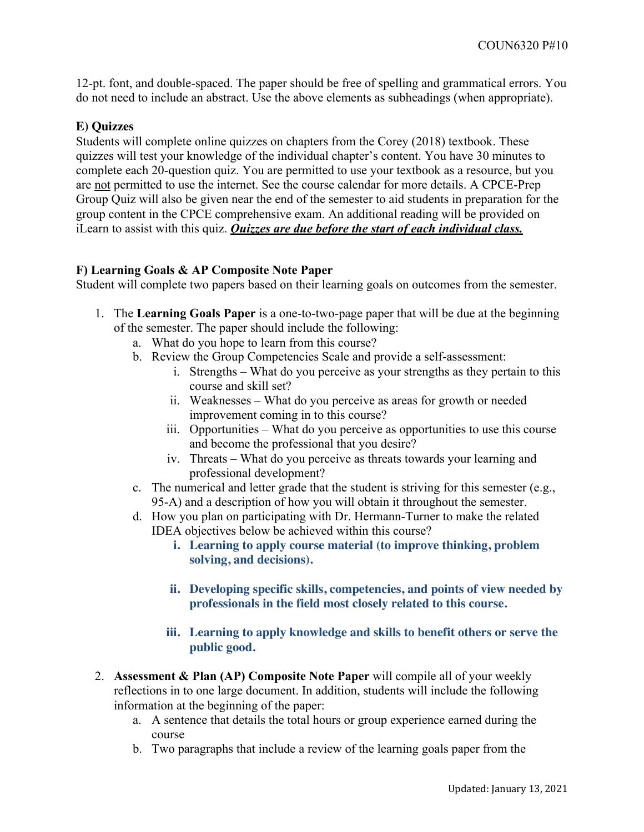12-pt. font, and double-spaced. The paper should be free of spelling and grammatical errors. You do not need to include an abstract. Use the above elements as subheadings (when appropriate).

# **E) Quizzes**

Students will complete online quizzes on chapters from the Corey (2018) textbook. These quizzes will test your knowledge of the individual chapter's content. You have 30 minutes to complete each 20-question quiz. You are permitted to use your textbook as a resource, but you are not permitted to use the internet. See the course calendar for more details. A CPCE-Prep Group Quiz will also be given near the end of the semester to aid students in preparation for the group content in the CPCE comprehensive exam. An additional reading will be provided on iLearn to assist with this quiz. *Quizzes are due before the start of each individual class.*

### **F) Learning Goals & AP Composite Note Paper**

Student will complete two papers based on their learning goals on outcomes from the semester.

- 1. The **Learning Goals Paper** is a one-to-two-page paper that will be due at the beginning of the semester. The paper should include the following:
	- a. What do you hope to learn from this course?
	- b. Review the Group Competencies Scale and provide a self-assessment:
		- i. Strengths What do you perceive as your strengths as they pertain to this course and skill set?
		- ii. Weaknesses What do you perceive as areas for growth or needed improvement coming in to this course?
		- iii. Opportunities What do you perceive as opportunities to use this course and become the professional that you desire?
		- iv. Threats What do you perceive as threats towards your learning and professional development?
	- c. The numerical and letter grade that the student is striving for this semester (e.g., 95-A) and a description of how you will obtain it throughout the semester.
	- d. How you plan on participating with Dr. Hermann-Turner to make the related IDEA objectives below be achieved within this course?
		- **i. Learning to apply course material (to improve thinking, problem solving, and decisions).**
		- **ii. Developing specific skills, competencies, and points of view needed by professionals in the field most closely related to this course.**
		- **iii. Learning to apply knowledge and skills to benefit others or serve the public good.**
- 2. **Assessment & Plan (AP) Composite Note Paper** will compile all of your weekly reflections in to one large document. In addition, students will include the following information at the beginning of the paper:
	- a. A sentence that details the total hours or group experience earned during the course
	- b. Two paragraphs that include a review of the learning goals paper from the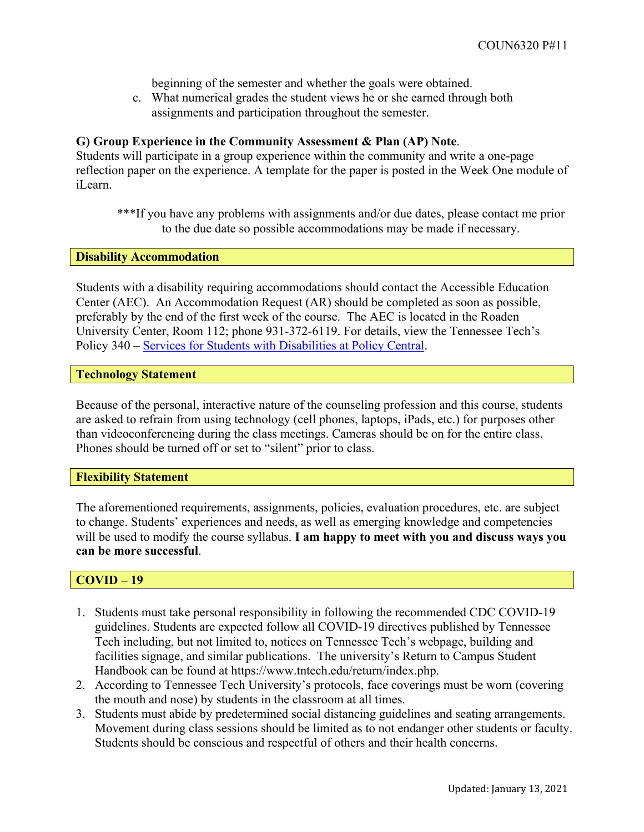beginning of the semester and whether the goals were obtained.

c. What numerical grades the student views he or she earned through both assignments and participation throughout the semester.

# **G) Group Experience in the Community Assessment & Plan (AP) Note**.

Students will participate in a group experience within the community and write a one-page reflection paper on the experience. A template for the paper is posted in the Week One module of iLearn.

\*\*\*If you have any problems with assignments and/or due dates, please contact me prior to the due date so possible accommodations may be made if necessary.

### **Disability Accommodation**

Students with a disability requiring accommodations should contact the Accessible Education Center (AEC). An Accommodation Request (AR) should be completed as soon as possible, preferably by the end of the first week of the course. The AEC is located in the Roaden University Center, Room 112; phone 931-372-6119. For details, view the Tennessee Tech's Policy 340 – Services for Students with Disabilities at Policy Central.

### **Technology Statement**

Because of the personal, interactive nature of the counseling profession and this course, students are asked to refrain from using technology (cell phones, laptops, iPads, etc.) for purposes other than videoconferencing during the class meetings. Cameras should be on for the entire class. Phones should be turned off or set to "silent" prior to class.

## **Flexibility Statement**

The aforementioned requirements, assignments, policies, evaluation procedures, etc. are subject to change. Students' experiences and needs, as well as emerging knowledge and competencies will be used to modify the course syllabus. **I am happy to meet with you and discuss ways you can be more successful**.

## **COVID – 19**

- 1. Students must take personal responsibility in following the recommended CDC COVID-19 guidelines. Students are expected follow all COVID-19 directives published by Tennessee Tech including, but not limited to, notices on Tennessee Tech's webpage, building and facilities signage, and similar publications. The university's Return to Campus Student Handbook can be found at https://www.tntech.edu/return/index.php.
- 2. According to Tennessee Tech University's protocols, face coverings must be worn (covering the mouth and nose) by students in the classroom at all times.
- 3. Students must abide by predetermined social distancing guidelines and seating arrangements. Movement during class sessions should be limited as to not endanger other students or faculty. Students should be conscious and respectful of others and their health concerns.